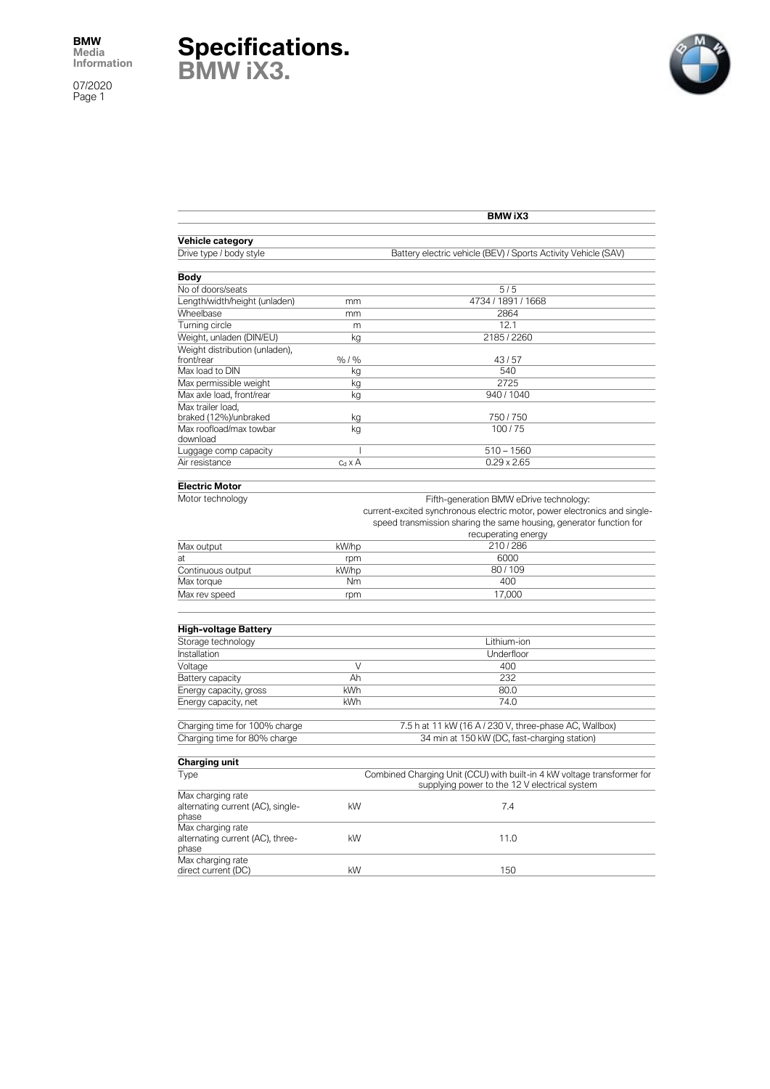07/2020 Page 1





|                                                                 | <b>BMW iX3</b>                                                                                                           |                                                                           |
|-----------------------------------------------------------------|--------------------------------------------------------------------------------------------------------------------------|---------------------------------------------------------------------------|
| Vehicle category                                                |                                                                                                                          |                                                                           |
| Drive type / body style                                         |                                                                                                                          | Battery electric vehicle (BEV) / Sports Activity Vehicle (SAV)            |
| Body                                                            |                                                                                                                          |                                                                           |
| No of doors/seats                                               |                                                                                                                          | 5/5                                                                       |
| Length/width/height (unladen)                                   | mm                                                                                                                       | 4734 / 1891 / 1668                                                        |
| Wheelbase                                                       | mm                                                                                                                       | 2864                                                                      |
| Turning circle                                                  | m                                                                                                                        | 12.1                                                                      |
| Weight, unladen (DIN/EU)                                        | kg                                                                                                                       | 2185/2260                                                                 |
| Weight distribution (unladen),                                  |                                                                                                                          |                                                                           |
| front/rear                                                      | %/%                                                                                                                      | 43/57                                                                     |
| Max load to DIN                                                 | kg                                                                                                                       | 540                                                                       |
| Max permissible weight                                          |                                                                                                                          | 2725                                                                      |
|                                                                 | kg                                                                                                                       | 940/1040                                                                  |
| Max axle load, front/rear                                       | kg                                                                                                                       |                                                                           |
| Max trailer load.                                               |                                                                                                                          | 750/750                                                                   |
| braked (12%)/unbraked<br>Max roofload/max towbar                | kg                                                                                                                       | 100/75                                                                    |
| download                                                        | kg                                                                                                                       |                                                                           |
| Luggage comp capacity                                           | I                                                                                                                        | $510 - 1560$                                                              |
|                                                                 |                                                                                                                          | $0.29 \times 2.65$                                                        |
| Air resistance                                                  | $c_d \times A$                                                                                                           |                                                                           |
| <b>Electric Motor</b>                                           |                                                                                                                          |                                                                           |
| Motor technology                                                |                                                                                                                          |                                                                           |
|                                                                 |                                                                                                                          | Fifth-generation BMW eDrive technology:                                   |
|                                                                 |                                                                                                                          | current-excited synchronous electric motor, power electronics and single- |
|                                                                 |                                                                                                                          | speed transmission sharing the same housing, generator function for       |
|                                                                 |                                                                                                                          | recuperating energy                                                       |
| Max output                                                      | kW/hp                                                                                                                    | 210/286                                                                   |
| at                                                              | rpm                                                                                                                      | 6000                                                                      |
| Continuous output                                               | kW/hp                                                                                                                    | 80/109                                                                    |
| Max torque                                                      | Nm                                                                                                                       | 400                                                                       |
| Max rev speed                                                   | rpm                                                                                                                      | 17,000                                                                    |
|                                                                 |                                                                                                                          |                                                                           |
| <b>High-voltage Battery</b>                                     |                                                                                                                          |                                                                           |
| Storage technology                                              |                                                                                                                          | Lithium-ion                                                               |
| Installation                                                    |                                                                                                                          | Underfloor                                                                |
| Voltage                                                         | V                                                                                                                        | 400                                                                       |
| Battery capacity                                                | Ah                                                                                                                       | 232                                                                       |
| Energy capacity, gross                                          | kWh                                                                                                                      | 80.0                                                                      |
| Energy capacity, net                                            | kWh                                                                                                                      | 74.0                                                                      |
|                                                                 |                                                                                                                          |                                                                           |
| Charging time for 100% charge                                   |                                                                                                                          | 7.5 h at 11 kW (16 A / 230 V, three-phase AC, Wallbox)                    |
| Charging time for 80% charge                                    |                                                                                                                          | 34 min at 150 kW (DC, fast-charging station)                              |
|                                                                 |                                                                                                                          |                                                                           |
| Charging unit                                                   |                                                                                                                          |                                                                           |
| Type                                                            | Combined Charging Unit (CCU) with built-in 4 kW voltage transformer for<br>supplying power to the 12 V electrical system |                                                                           |
| Max charging rate<br>alternating current (AC), single-<br>phase | kW                                                                                                                       | 7.4                                                                       |
| Max charging rate<br>alternating current (AC), three-<br>phase  | kW                                                                                                                       | 11.0                                                                      |
| Max charging rate<br>direct current (DC)                        | kW                                                                                                                       | 150                                                                       |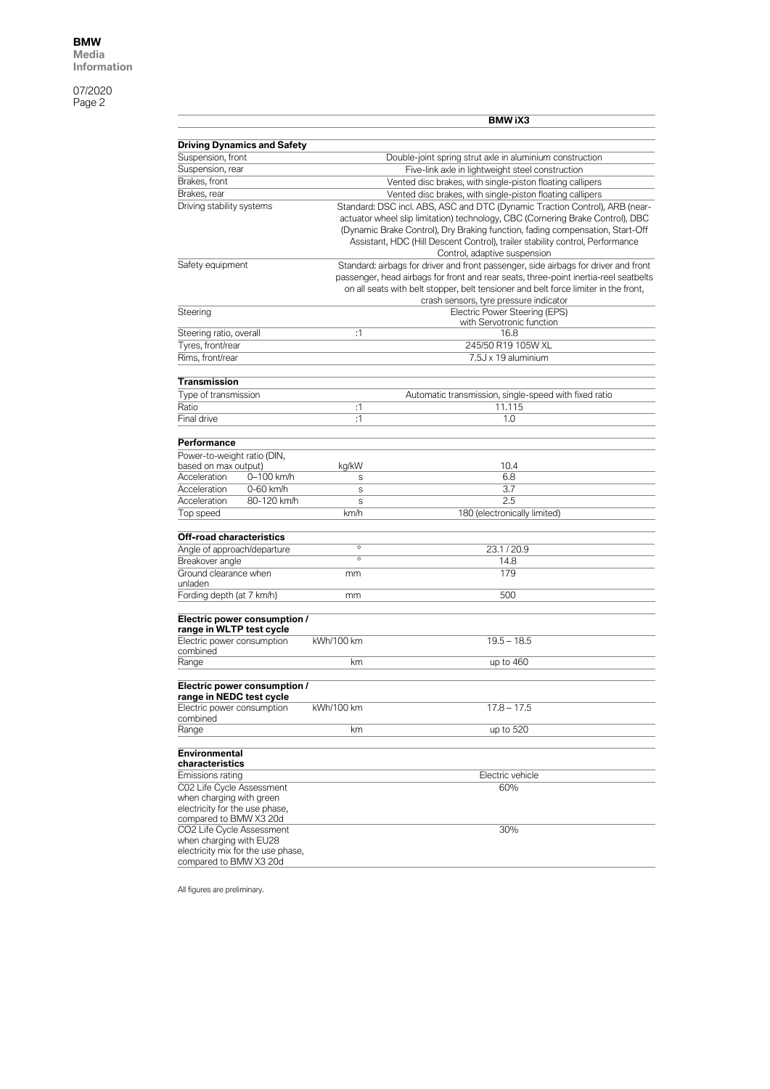07/2020 Page 2

|                                                                |                                    |                                                                                                                        | <b>BMW iX3</b>                                                                                                                                                |  |
|----------------------------------------------------------------|------------------------------------|------------------------------------------------------------------------------------------------------------------------|---------------------------------------------------------------------------------------------------------------------------------------------------------------|--|
|                                                                |                                    |                                                                                                                        |                                                                                                                                                               |  |
|                                                                | <b>Driving Dynamics and Safety</b> |                                                                                                                        |                                                                                                                                                               |  |
| Suspension, front                                              |                                    |                                                                                                                        | Double-joint spring strut axle in aluminium construction                                                                                                      |  |
| Suspension, rear                                               |                                    | Five-link axle in lightweight steel construction                                                                       |                                                                                                                                                               |  |
| Brakes, front                                                  |                                    | Vented disc brakes, with single-piston floating callipers<br>Vented disc brakes, with single-piston floating callipers |                                                                                                                                                               |  |
| Brakes, rear<br>Driving stability systems                      |                                    |                                                                                                                        |                                                                                                                                                               |  |
|                                                                |                                    |                                                                                                                        | Standard: DSC incl. ABS, ASC and DTC (Dynamic Traction Control), ARB (near-<br>actuator wheel slip limitation) technology, CBC (Cornering Brake Control), DBC |  |
|                                                                |                                    |                                                                                                                        | (Dynamic Brake Control), Dry Braking function, fading compensation, Start-Off                                                                                 |  |
|                                                                |                                    |                                                                                                                        | Assistant, HDC (Hill Descent Control), trailer stability control, Performance                                                                                 |  |
|                                                                |                                    |                                                                                                                        | Control, adaptive suspension                                                                                                                                  |  |
| Safety equipment                                               |                                    |                                                                                                                        | Standard: airbags for driver and front passenger, side airbags for driver and front                                                                           |  |
|                                                                |                                    |                                                                                                                        | passenger, head airbags for front and rear seats, three-point inertia-reel seatbelts                                                                          |  |
|                                                                |                                    |                                                                                                                        | on all seats with belt stopper, belt tensioner and belt force limiter in the front,                                                                           |  |
|                                                                |                                    |                                                                                                                        | crash sensors, tyre pressure indicator                                                                                                                        |  |
| Steering                                                       |                                    |                                                                                                                        | Electric Power Steering (EPS)<br>with Servotronic function                                                                                                    |  |
| Steering ratio, overall                                        |                                    | :1                                                                                                                     | 16.8                                                                                                                                                          |  |
| Tyres, front/rear                                              |                                    |                                                                                                                        | 245/50 R19 105W XL                                                                                                                                            |  |
| Rims, front/rear                                               |                                    |                                                                                                                        | 7.5J x 19 aluminium                                                                                                                                           |  |
|                                                                |                                    |                                                                                                                        |                                                                                                                                                               |  |
| <b>Transmission</b>                                            |                                    |                                                                                                                        |                                                                                                                                                               |  |
| Type of transmission                                           |                                    |                                                                                                                        | Automatic transmission, single-speed with fixed ratio                                                                                                         |  |
| Ratio                                                          |                                    | :1                                                                                                                     | 11.115                                                                                                                                                        |  |
| Final drive                                                    |                                    | :1                                                                                                                     | 1.0                                                                                                                                                           |  |
|                                                                |                                    |                                                                                                                        |                                                                                                                                                               |  |
| Performance                                                    |                                    |                                                                                                                        |                                                                                                                                                               |  |
| Power-to-weight ratio (DIN,<br>based on max output)            |                                    | kg/kW                                                                                                                  | 10.4                                                                                                                                                          |  |
| Acceleration                                                   | 0-100 km/h                         | S                                                                                                                      | 6.8                                                                                                                                                           |  |
| Acceleration                                                   | 0-60 km/h                          | $\mathsf S$                                                                                                            | 3.7                                                                                                                                                           |  |
| Acceleration                                                   | 80-120 km/h                        | S                                                                                                                      | 2.5                                                                                                                                                           |  |
| Top speed                                                      |                                    | km/h                                                                                                                   | 180 (electronically limited)                                                                                                                                  |  |
|                                                                |                                    |                                                                                                                        |                                                                                                                                                               |  |
| <b>Off-road characteristics</b><br>Angle of approach/departure |                                    | $\circ$                                                                                                                | 23.1/20.9                                                                                                                                                     |  |
| Breakover angle                                                |                                    | $\circ$                                                                                                                | 14.8                                                                                                                                                          |  |
| Ground clearance when                                          |                                    | mm                                                                                                                     | 179                                                                                                                                                           |  |
| unladen                                                        |                                    |                                                                                                                        |                                                                                                                                                               |  |
| Fording depth (at 7 km/h)                                      |                                    | mm                                                                                                                     | 500                                                                                                                                                           |  |
|                                                                |                                    |                                                                                                                        |                                                                                                                                                               |  |
| range in WLTP test cycle                                       | Electric power consumption /       |                                                                                                                        |                                                                                                                                                               |  |
| Electric power consumption                                     |                                    | kWh/100 km                                                                                                             | $19.5 - 18.5$                                                                                                                                                 |  |
| combined                                                       |                                    |                                                                                                                        |                                                                                                                                                               |  |
| Range                                                          |                                    | km                                                                                                                     | up to 460                                                                                                                                                     |  |
|                                                                |                                    |                                                                                                                        |                                                                                                                                                               |  |
|                                                                | Electric power consumption /       |                                                                                                                        |                                                                                                                                                               |  |
| range in NEDC test cycle<br>Electric power consumption         |                                    | kWh/100 km                                                                                                             | $17.8 - 17.5$                                                                                                                                                 |  |
| combined                                                       |                                    |                                                                                                                        |                                                                                                                                                               |  |
| Range                                                          |                                    | km                                                                                                                     | up to 520                                                                                                                                                     |  |
|                                                                |                                    |                                                                                                                        |                                                                                                                                                               |  |
| <b>Environmental</b><br>characteristics                        |                                    |                                                                                                                        |                                                                                                                                                               |  |
| Emissions rating                                               |                                    |                                                                                                                        | Electric vehicle                                                                                                                                              |  |
| C02 Life Cvcle Assessment                                      |                                    |                                                                                                                        | 60%                                                                                                                                                           |  |
| when charging with green                                       |                                    |                                                                                                                        |                                                                                                                                                               |  |
| electricity for the use phase,                                 |                                    |                                                                                                                        |                                                                                                                                                               |  |
| compared to BMW X3 20d                                         |                                    |                                                                                                                        |                                                                                                                                                               |  |
| CO2 Life Cycle Assessment<br>when charging with EU28           |                                    |                                                                                                                        | 30%                                                                                                                                                           |  |
|                                                                | electricity mix for the use phase, |                                                                                                                        |                                                                                                                                                               |  |
| compared to BMW X3 20d                                         |                                    |                                                                                                                        |                                                                                                                                                               |  |
|                                                                |                                    |                                                                                                                        |                                                                                                                                                               |  |

All figures are preliminary.